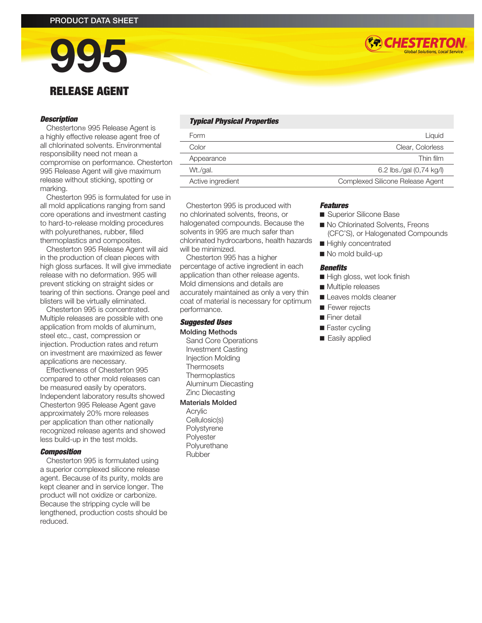# 995 RELEASE AGENT

#### *Description*

Chesterton® 995 Release Agent is a highly effective release agent free of all chlorinated solvents. Environmental responsibility need not mean a compromise on performance. Chesterton 995 Release Agent will give maximum release without sticking, spotting or marking.

Chesterton 995 is formulated for use in all mold applications ranging from sand core operations and investment casting to hard-to-release molding procedures with polyurethanes, rubber, filled thermoplastics and composites.

Chesterton 995 Release Agent will aid in the production of clean pieces with high gloss surfaces. It will give immediate release with no deformation. 995 will prevent sticking on straight sides or tearing of thin sections. Orange peel and blisters will be virtually eliminated.

Chesterton 995 is concentrated. Multiple releases are possible with one application from molds of aluminum, steel etc., cast, compression or injection. Production rates and return on investment are maximized as fewer applications are necessary.

Effectiveness of Chesterton 995 compared to other mold releases can be measured easily by operators. Independent laboratory results showed Chesterton 995 Release Agent gave approximately 20% more releases per application than other nationally recognized release agents and showed less build-up in the test molds.

#### *Composition*

Chesterton 995 is formulated using a superior complexed silicone release agent. Because of its purity, molds are kept cleaner and in service longer. The product will not oxidize or carbonize. Because the stripping cycle will be lengthened, production costs should be reduced.

### *Typical Physical Properties*

| Form              | Liquid                           |
|-------------------|----------------------------------|
| Color             | Clear, Colorless                 |
| Appearance        | Thin film                        |
| Wt./gal.          | 6.2 lbs./gal (0,74 kg/l)         |
| Active ingredient | Complexed Silicone Release Agent |

Chesterton 995 is produced with no chlorinated solvents, freons, or halogenated compounds. Because the solvents in 995 are much safer than chlorinated hydrocarbons, health hazards will be minimized.

Chesterton 995 has a higher percentage of active ingredient in each application than other release agents. Mold dimensions and details are accurately maintained as only a very thin coat of material is necessary for optimum performance.

#### *Suggested Uses* Molding Methods

Sand Core Operations Investment Casting Injection Molding Thermosets **Thermoplastics** Aluminum Diecasting Zinc Diecasting

#### Materials Molded

Acrylic Cellulosic(s) Polystyrene Polyester Polyurethane Rubber

# *Features*

- Superior Silicone Base
- No Chlorinated Solvents, Freons (CFC'S), or Halogenated Compounds

**(\*\*) CHESTERTON** 

- Highly concentrated
- No mold build-up

#### *Benefits*

- High gloss, wet look finish
- Multiple releases
- Leaves molds cleaner
- Fewer rejects
- **n** Finer detail
- $\blacksquare$  Faster cycling
- Easily applied